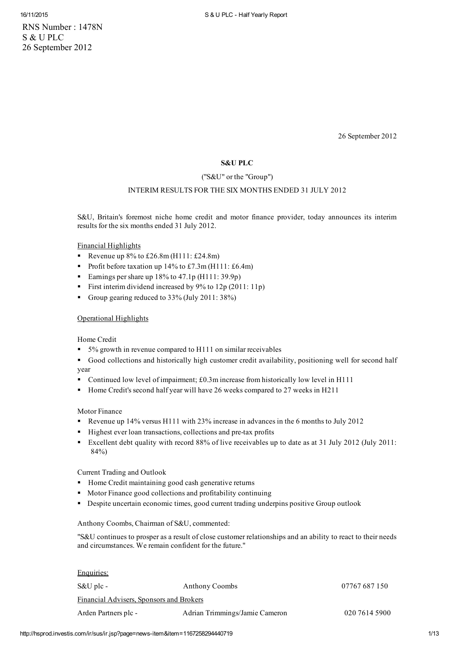RNS Number : 1478N S & U PLC 26 September 2012

26 September 2012

# S&U PLC

## ("S&U" or the "Group")

## INTERIM RESULTS FOR THE SIX MONTHS ENDED 31 JULY 2012

S&U, Britain's foremost niche home credit and motor finance provider, today announces its interim results for the six months ended 31 July 2012.

Financial Highlights

- Revenue up  $8\%$  to  $£26.8$ m (H111: £24.8m)
- Profit before taxation up  $14\%$  to £7.3m (H111: £6.4m)
- Earnings pershare up 18% to 47.1p (H111: 39.9p)
- First interim dividend increased by 9% to 12p (2011: 11p)
- Group gearing reduced to 33% (July 2011: 38%)

### Operational Highlights

Home Credit

- 5% growth in revenue compared to H111 on similar receivables
- Good collections and historically high customer credit availability, positioning well for second half year
- Continued low level of impairment; £0.3m increase from historically low level in H111
- Home Credit's second half year will have 26 weeks compared to 27 weeks in H211

Motor Finance

- Revenue up 14% versus H111 with 23% increase in advances in the 6 months to July 2012
- Highest ever loan transactions, collections and pre-tax profits
- Excellent debt quality with record 88% of live receivables up to date as at 31 July 2012 (July 2011: 84%)

Current Trading and Outlook

- **Home Credit maintaining good cash generative returns**
- Motor Finance good collections and profitability continuing
- Despite uncertain economic times, good current trading underpins positive Group outlook

Anthony Coombs, Chairman of S&U, commented:

"S&U continues to prosper as a result of close customer relationships and an ability to react to their needs and circumstances. We remain confident for the future."

| Enquiries:                               |                                |               |
|------------------------------------------|--------------------------------|---------------|
| S&U plc -                                | <b>Anthony Coombs</b>          | 07767 687 150 |
| Financial Advisers, Sponsors and Brokers |                                |               |
| Arden Partners plc -                     | Adrian Trimmings/Jamie Cameron | 020 7614 5900 |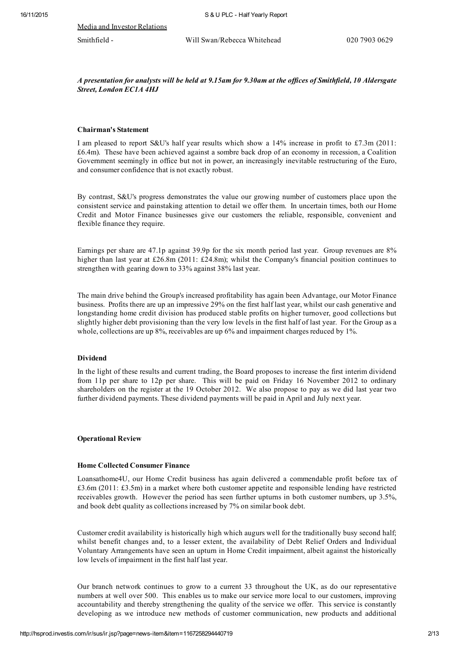Media and Investor Relations

# A presentation for analysts will be held at 9.15am for 9.30am at the offices of Smithfield, 10 Aldersgate Street, London EC1A 4HJ

### Chairman's Statement

I am pleased to report S&U's half year results which show a 14% increase in profit to £7.3m (2011: £6.4m). These have been achieved against a sombre back drop of an economy in recession, a Coalition Government seemingly in office but not in power, an increasingly inevitable restructuring of the Euro, and consumer confidence that is not exactly robust.

By contrast, S&U's progress demonstrates the value our growing number of customers place upon the consistent service and painstaking attention to detail we offer them. In uncertain times, both our Home Credit and Motor Finance businesses give our customers the reliable, responsible, convenient and flexible finance they require.

Earnings per share are 47.1p against 39.9p for the six month period last year. Group revenues are 8% higher than last year at £26.8m (2011: £24.8m); whilst the Company's financial position continues to strengthen with gearing down to 33% against 38% last year.

The main drive behind the Group's increased profitability has again been Advantage, our Motor Finance business. Profits there are up an impressive 29% on the first half last year, whilst our cash generative and longstanding home credit division has produced stable profits on higher turnover, good collections but slightly higher debt provisioning than the very low levels in the first half of last year. For the Group as a whole, collections are up 8%, receivables are up 6% and impairment charges reduced by 1%.

### Dividend

In the light of these results and current trading, the Board proposes to increase the first interim dividend from 11p per share to 12p per share. This will be paid on Friday 16 November 2012 to ordinary shareholders on the register at the 19 October 2012. We also propose to pay as we did last year two further dividend payments. These dividend payments will be paid in April and July next year.

### Operational Review

### Home Collected Consumer Finance

Loansathome4U, our Home Credit business has again delivered a commendable profit before tax of £3.6m (2011: £3.5m) in a market where both customer appetite and responsible lending have restricted receivables growth. However the period has seen further upturns in both customer numbers, up 3.5%, and book debt quality as collections increased by 7% on similar book debt.

Customer credit availability is historically high which augurs well for the traditionally busy second half; whilst benefit changes and, to a lesser extent, the availability of Debt Relief Orders and Individual Voluntary Arrangements have seen an upturn in Home Credit impairment, albeit against the historically low levels of impairment in the first half last year.

Our branch network continues to grow to a current 33 throughout the UK, as do our representative numbers at well over 500. This enables us to make our service more local to our customers, improving accountability and thereby strengthening the quality of the service we offer. This service is constantly developing as we introduce new methods of customer communication, new products and additional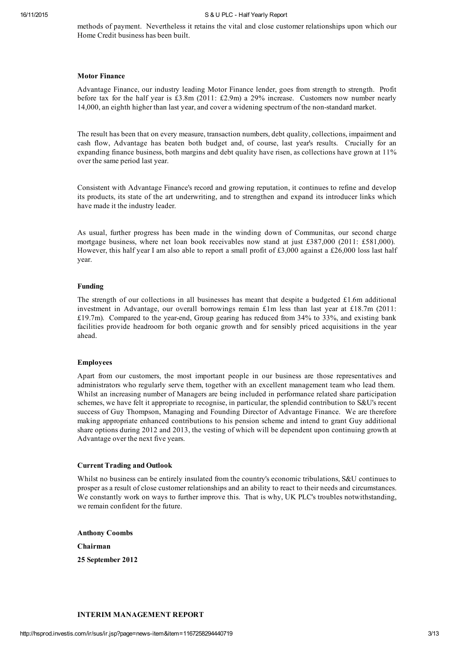methods of payment. Nevertheless it retains the vital and close customer relationships upon which our Home Credit business has been built.

## Motor Finance

Advantage Finance, our industry leading Motor Finance lender, goes from strength to strength. Profit before tax for the half year is £3.8m (2011: £2.9m) a 29% increase. Customers now number nearly 14,000, an eighth higher than last year, and cover a widening spectrum of the nonstandard market.

The result has been that on every measure, transaction numbers, debt quality, collections, impairment and cash flow, Advantage has beaten both budget and, of course, last year's results. Crucially for an expanding finance business, both margins and debt quality have risen, as collections have grown at 11% over the same period last year.

Consistent with Advantage Finance's record and growing reputation, it continues to refine and develop its products, its state of the art underwriting, and to strengthen and expand its introducer links which have made it the industry leader.

As usual, further progress has been made in the winding down of Communitas, our second charge mortgage business, where net loan book receivables now stand at just £387,000 (2011: £581,000). However, this half year I am also able to report a small profit of £3,000 against a £26,000 loss last half year.

#### Funding

The strength of our collections in all businesses has meant that despite a budgeted £1.6m additional investment in Advantage, our overall borrowings remain £1m less than last year at £18.7m (2011: £19.7m). Compared to the year-end, Group gearing has reduced from  $34\%$  to  $33\%$ , and existing bank facilities provide headroom for both organic growth and for sensibly priced acquisitions in the year ahead.

### Employees

Apart from our customers, the most important people in our business are those representatives and administrators who regularly serve them, together with an excellent management team who lead them. Whilst an increasing number of Managers are being included in performance related share participation schemes, we have felt it appropriate to recognise, in particular, the splendid contribution to S&U's recent success of Guy Thompson, Managing and Founding Director of Advantage Finance. We are therefore making appropriate enhanced contributions to his pension scheme and intend to grant Guy additional share options during 2012 and 2013, the vesting of which will be dependent upon continuing growth at Advantage over the next five years.

# Current Trading and Outlook

Whilst no business can be entirely insulated from the country's economic tribulations, S&U continues to prosper as a result of close customer relationships and an ability to react to their needs and circumstances. We constantly work on ways to further improve this. That is why, UK PLC's troubles notwithstanding, we remain confident for the future.

Anthony Coombs Chairman 25 September 2012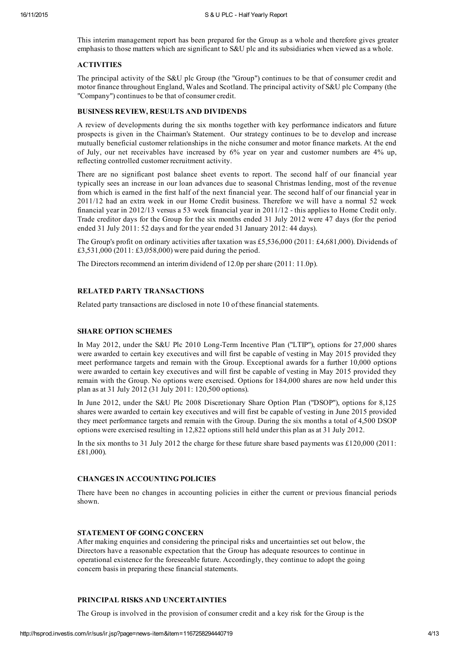This interim management report has been prepared for the Group as a whole and therefore gives greater emphasis to those matters which are significant to S&U plc and its subsidiaries when viewed as a whole.

# **ACTIVITIES**

The principal activity of the S&U plc Group (the "Group") continues to be that of consumer credit and motor finance throughout England, Wales and Scotland. The principal activity of S&U plc Company (the "Company") continues to be that of consumer credit.

## BUSINESS REVIEW, RESULTS AND DIVIDENDS

A review of developments during the six months together with key performance indicators and future prospects is given in the Chairman's Statement. Our strategy continues to be to develop and increase mutually beneficial customer relationships in the niche consumer and motor finance markets. At the end of July, our net receivables have increased by 6% year on year and customer numbers are 4% up, reflecting controlled customer recruitment activity.

There are no significant post balance sheet events to report. The second half of our financial year typically sees an increase in our loan advances due to seasonal Christmas lending, most of the revenue from which is earned in the first half of the next financial year. The second half of our financial year in 2011/12 had an extra week in our Home Credit business. Therefore we will have a normal 52 week financial year in 2012/13 versus a 53 week financial year in 2011/12 this applies to Home Credit only. Trade creditor days for the Group for the six months ended 31 July 2012 were 47 days (for the period ended 31 July 2011: 52 days and for the year ended 31 January 2012: 44 days).

The Group's profit on ordinary activities after taxation was £5,536,000 (2011: £4,681,000). Dividends of £3,531,000 (2011: £3,058,000) were paid during the period.

The Directors recommend an interim dividend of 12.0p pershare (2011: 11.0p).

## RELATED PARTY TRANSACTIONS

Related party transactions are disclosed in note 10 of these financial statements.

### SHARE OPTION SCHEMES

In May 2012, under the S&U Plc 2010 Long-Term Incentive Plan ("LTIP"), options for 27,000 shares were awarded to certain key executives and will first be capable of vesting in May 2015 provided they meet performance targets and remain with the Group. Exceptional awards for a further 10,000 options were awarded to certain key executives and will first be capable of vesting in May 2015 provided they remain with the Group. No options were exercised. Options for 184,000 shares are now held under this plan as at 31 July 2012 (31 July 2011: 120,500 options).

In June 2012, under the S&U Plc 2008 Discretionary Share Option Plan ("DSOP"), options for 8,125 shares were awarded to certain key executives and will first be capable of vesting in June 2015 provided they meet performance targets and remain with the Group. During the six months a total of 4,500 DSOP options were exercised resulting in 12,822 options still held under this plan as at 31 July 2012.

In the six months to 31 July 2012 the charge for these future share based payments was £120,000 (2011: £81,000).

## CHANGES IN ACCOUNTING POLICIES

There have been no changes in accounting policies in either the current or previous financial periods shown.

## STATEMENT OF GOING CONCERN

After making enquiries and considering the principal risks and uncertainties set out below, the Directors have a reasonable expectation that the Group has adequate resources to continue in operational existence for the foreseeable future. Accordingly, they continue to adopt the going concern basis in preparing these financial statements.

# PRINCIPAL RISKS AND UNCERTAINTIES

The Group is involved in the provision of consumer credit and a key risk for the Group is the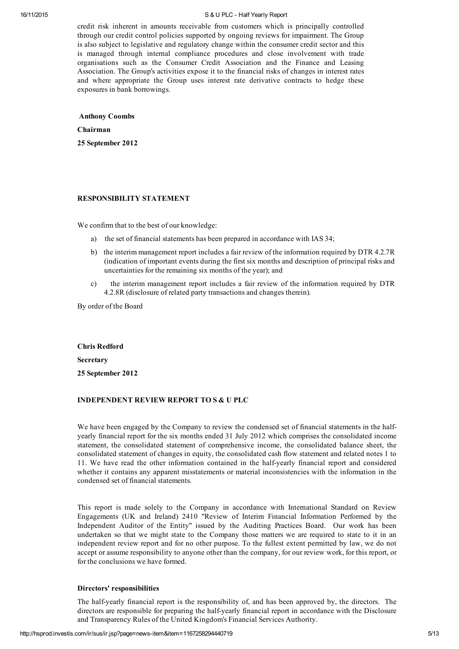credit risk inherent in amounts receivable from customers which is principally controlled through our credit control policies supported by ongoing reviews for impairment. The Group is also subject to legislative and regulatory change within the consumer credit sector and this is managed through internal compliance procedures and close involvement with trade organisations such as the Consumer Credit Association and the Finance and Leasing Association. The Group's activities expose it to the financial risks of changes in interest rates and where appropriate the Group uses interest rate derivative contracts to hedge these exposures in bank borrowings.

Anthony Coombs

Chairman

25 September 2012

### RESPONSIBILITY STATEMENT

We confirm that to the best of our knowledge:

- a) the set of financial statements has been prepared in accordance with IAS 34;
- b) the interim management report includes a fair review of the information required by DTR 4.2.7R (indication of important events during the first six months and description of principal risks and uncertainties for the remaining six months of the year); and
- c) the interim management report includes a fair review of the information required by DTR 4.2.8R (disclosure of related party transactions and changes therein).

By order of the Board

Chris Redford Secretary

25 September 2012

## INDEPENDENT REVIEW REPORT TO S & U PLC

We have been engaged by the Company to review the condensed set of financial statements in the halfyearly financial report for the six months ended 31 July 2012 which comprises the consolidated income statement, the consolidated statement of comprehensive income, the consolidated balance sheet, the consolidated statement of changes in equity, the consolidated cash flow statement and related notes 1 to 11. We have read the other information contained in the half-yearly financial report and considered whether it contains any apparent misstatements or material inconsistencies with the information in the condensed set of financial statements.

This report is made solely to the Company in accordance with International Standard on Review Engagements (UK and Ireland) 2410 "Review of Interim Financial Information Performed by the Independent Auditor of the Entity" issued by the Auditing Practices Board. Our work has been undertaken so that we might state to the Company those matters we are required to state to it in an independent review report and for no other purpose. To the fullest extent permitted by law, we do not accept or assume responsibility to anyone other than the company, for our review work, for this report, or for the conclusions we have formed.

#### Directors' responsibilities

The half-yearly financial report is the responsibility of, and has been approved by, the directors. The directors are responsible for preparing the half-yearly financial report in accordance with the Disclosure and Transparency Rules of the United Kingdom's Financial Services Authority.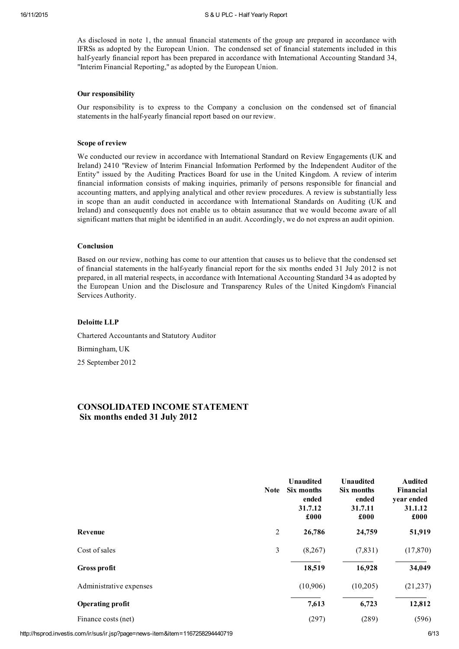As disclosed in note 1, the annual financial statements of the group are prepared in accordance with IFRSs as adopted by the European Union. The condensed set of financial statements included in this half-yearly financial report has been prepared in accordance with International Accounting Standard 34, "Interim Financial Reporting," as adopted by the European Union.

### Our responsibility

Our responsibility is to express to the Company a conclusion on the condensed set of financial statements in the half-yearly financial report based on our review.

### Scope of review

We conducted our review in accordance with International Standard on Review Engagements (UK and Ireland) 2410 "Review of Interim Financial Information Performed by the Independent Auditor of the Entity" issued by the Auditing Practices Board for use in the United Kingdom. A review of interim financial information consists of making inquiries, primarily of persons responsible for financial and accounting matters, and applying analytical and other review procedures. A review is substantially less in scope than an audit conducted in accordance with International Standards on Auditing (UK and Ireland) and consequently does not enable us to obtain assurance that we would become aware of all significant matters that might be identified in an audit. Accordingly, we do not express an audit opinion.

#### Conclusion

Based on our review, nothing has come to our attention that causes us to believe that the condensed set of financial statements in the halfyearly financial report for the six months ended 31 July 2012 is not prepared, in all material respects, in accordance with International Accounting Standard 34 as adopted by the European Union and the Disclosure and Transparency Rules of the United Kingdom's Financial Services Authority.

### Deloitte LLP

Chartered Accountants and Statutory Auditor

Birmingham, UK

25 September 2012

# CONSOLIDATED INCOME STATEMENT Six months ended 31 July 2012

|                         | <b>Note</b>    | <b>Unaudited</b><br>Six months<br>ended<br>31.7.12<br>£000 | <b>Unaudited</b><br>Six months<br>ended<br>31.7.11<br>£000 | <b>Audited</b><br>Financial<br>year ended<br>31.1.12<br>£000 |
|-------------------------|----------------|------------------------------------------------------------|------------------------------------------------------------|--------------------------------------------------------------|
| Revenue                 | $\overline{2}$ | 26,786                                                     | 24,759                                                     | 51,919                                                       |
| Cost of sales           | 3              | (8,267)                                                    | (7,831)                                                    | (17, 870)                                                    |
| Gross profit            |                | 18,519                                                     | 16,928                                                     | 34,049                                                       |
| Administrative expenses |                | (10,906)                                                   | (10,205)                                                   | (21, 237)                                                    |
| <b>Operating profit</b> |                | 7,613                                                      | 6,723                                                      | 12,812                                                       |
| Finance costs (net)     |                | (297)                                                      | (289)                                                      | (596)                                                        |

http://hsprod.investis.com/ir/sus/ir.jsp?page=news-item&item=1167258294440719 6/13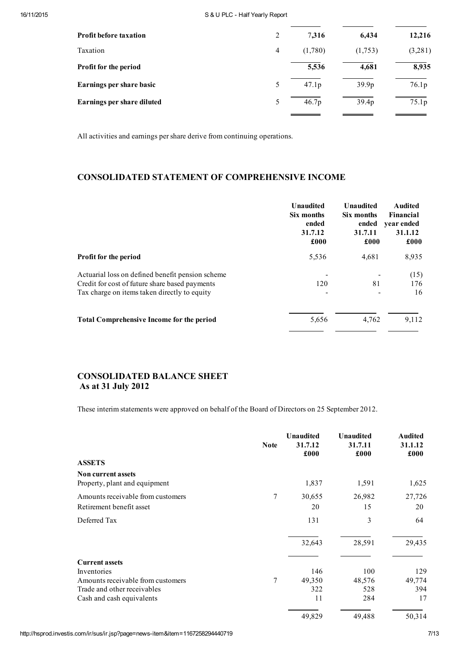| Profit before taxation     | 2 | 7.316             | 6,434             | 12,216  |
|----------------------------|---|-------------------|-------------------|---------|
| Taxation                   | 4 | (1,780)           | (1,753)           | (3,281) |
| Profit for the period      |   | 5,536             | 4,681             | 8,935   |
| Earnings per share basic   | 5 | 47.1 <sub>p</sub> | 39.9 <sub>p</sub> | 76.1p   |
| Earnings per share diluted | 5 | 46.7p             | 39.4 <sub>p</sub> | 75.1p   |
|                            |   |                   |                   |         |

All activities and earnings pershare derive from continuing operations.

# CONSOLIDATED STATEMENT OF COMPREHENSIVE INCOME

|                                                                                                                                                    | <b>Unaudited</b><br>Six months<br>ended<br>31.7.12<br>£000 | <b>Unaudited</b><br>Six months<br>ended<br>31.7.11<br>£000 | <b>Audited</b><br>Financial<br>vear ended<br>31.1.12<br>£000 |
|----------------------------------------------------------------------------------------------------------------------------------------------------|------------------------------------------------------------|------------------------------------------------------------|--------------------------------------------------------------|
| <b>Profit for the period</b>                                                                                                                       | 5,536                                                      | 4,681                                                      | 8,935                                                        |
| Actuarial loss on defined benefit pension scheme<br>Credit for cost of future share based payments<br>Tax charge on items taken directly to equity | 120                                                        | 81                                                         | (15)<br>176<br>16                                            |
| <b>Total Comprehensive Income for the period</b>                                                                                                   | 5,656                                                      | 4,762                                                      | 9,112                                                        |

# CONSOLIDATED BALANCE SHEET As at 31 July 2012

These interim statements were approved on behalf of the Board of Directors on 25 September 2012.

|                                                            | <b>Note</b> | <b>Unaudited</b><br>31.7.12<br>£000 | <b>Unaudited</b><br>31.7.11<br>£000 | <b>Audited</b><br>31.1.12<br>£000 |
|------------------------------------------------------------|-------------|-------------------------------------|-------------------------------------|-----------------------------------|
| <b>ASSETS</b>                                              |             |                                     |                                     |                                   |
| <b>Non current assets</b><br>Property, plant and equipment |             | 1,837                               | 1,591                               | 1,625                             |
| Amounts receivable from customers                          | 7           | 30,655                              | 26,982                              | 27,726                            |
| Retirement benefit asset                                   |             | 20                                  | 15                                  | 20                                |
| Deferred Tax                                               |             | 131                                 | 3                                   | 64                                |
|                                                            |             | 32,643                              | 28,591                              | 29,435                            |
| <b>Current assets</b>                                      |             |                                     |                                     |                                   |
| Inventories                                                |             | 146                                 | 100                                 | 129                               |
| Amounts receivable from customers                          | 7           | 49,350                              | 48,576                              | 49,774                            |
| Trade and other receivables                                |             | 322                                 | 528                                 | 394                               |
| Cash and cash equivalents                                  |             | 11                                  | 284                                 | 17                                |
|                                                            |             | 49,829                              | 49,488                              | 50,314                            |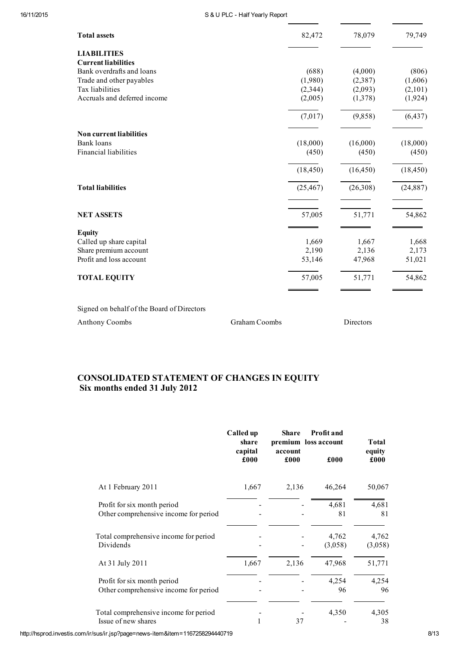| 82,472    | 78,079                                                               | 79,749                                                                 |
|-----------|----------------------------------------------------------------------|------------------------------------------------------------------------|
|           |                                                                      |                                                                        |
|           |                                                                      |                                                                        |
|           |                                                                      | (806)                                                                  |
|           |                                                                      | (1,606)                                                                |
|           |                                                                      | (2,101)                                                                |
|           |                                                                      | (1,924)                                                                |
| (7,017)   | (9,858)                                                              | (6, 437)                                                               |
|           |                                                                      |                                                                        |
|           |                                                                      | (18,000)                                                               |
| (450)     | (450)                                                                | (450)                                                                  |
| (18, 450) | (16, 450)                                                            | (18, 450)                                                              |
| (25, 467) | (26,308)                                                             | (24, 887)                                                              |
| 57,005    | 51,771                                                               | 54,862                                                                 |
|           |                                                                      |                                                                        |
|           |                                                                      | 1,668                                                                  |
|           |                                                                      | 2,173                                                                  |
| 53,146    | 47,968                                                               | 51,021                                                                 |
| 57,005    | 51,771                                                               | 54,862                                                                 |
|           | (688)<br>(1,980)<br>(2,344)<br>(2,005)<br>(18,000)<br>1,669<br>2,190 | (4,000)<br>(2,387)<br>(2,093)<br>(1,378)<br>(16,000)<br>1,667<br>2,136 |

Signed on behalf of the Board of Directors

Anthony Coombs Graham Coombs Directors

# CONSOLIDATED STATEMENT OF CHANGES IN EQUITY Six months ended 31 July 2012

|                                                                      | Called up<br>share<br>capital<br>£000 | <b>Share</b><br>account<br>£000 | <b>Profit and</b><br>premium loss account<br>£000 | Total<br>equity<br>£000 |
|----------------------------------------------------------------------|---------------------------------------|---------------------------------|---------------------------------------------------|-------------------------|
| At 1 February 2011                                                   | 1,667                                 | 2,136                           | 46,264                                            | 50,067                  |
| Profit for six month period<br>Other comprehensive income for period |                                       |                                 | 4,681<br>81                                       | 4,681<br>81             |
| Total comprehensive income for period<br>Dividends                   |                                       |                                 | 4,762<br>(3,058)                                  | 4,762<br>(3,058)        |
| At 31 July 2011                                                      | 1,667                                 | 2,136                           | 47,968                                            | 51,771                  |
| Profit for six month period<br>Other comprehensive income for period |                                       |                                 | 4,254<br>96                                       | 4,254<br>96             |
| Total comprehensive income for period<br>Issue of new shares         |                                       | 37                              | 4,350                                             | 4,305<br>38             |

http://hsprod.investis.com/ir/sus/ir.jsp?page=news-item&item=1167258294440719 8/13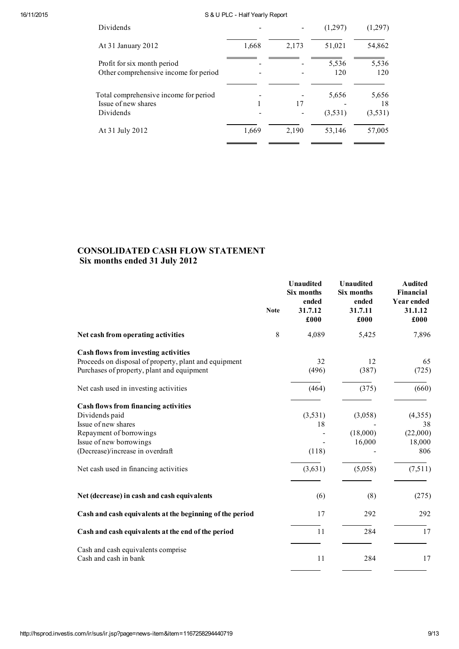| Dividends                                                                 |       |       | (1,297)          | (1,297)                |
|---------------------------------------------------------------------------|-------|-------|------------------|------------------------|
| At 31 January 2012                                                        | 1,668 | 2,173 | 51,021           | 54,862                 |
| Profit for six month period<br>Other comprehensive income for period      |       |       | 5.536<br>120     | 5,536<br>120           |
| Total comprehensive income for period<br>Issue of new shares<br>Dividends |       | 17    | 5.656<br>(3,531) | 5,656<br>18<br>(3,531) |
| At 31 July 2012                                                           | 1,669 | 2,190 | 53,146           | 57,005                 |

# CONSOLIDATED CASH FLOW STATEMENT Six months ended 31 July 2012

|                                                             | <b>Note</b> | <b>Unaudited</b><br>Six months<br>ended<br>31.7.12<br>£000 | <b>Unaudited</b><br>Six months<br>ended<br>31.7.11<br>£000 | <b>Audited</b><br>Financial<br><b>Year ended</b><br>31.1.12<br>£000 |
|-------------------------------------------------------------|-------------|------------------------------------------------------------|------------------------------------------------------------|---------------------------------------------------------------------|
| Net cash from operating activities                          | 8           | 4,089                                                      | 5,425                                                      | 7,896                                                               |
| <b>Cash flows from investing activities</b>                 |             |                                                            |                                                            |                                                                     |
| Proceeds on disposal of property, plant and equipment       |             | 32                                                         | 12                                                         | 65                                                                  |
| Purchases of property, plant and equipment                  |             | (496)                                                      | (387)                                                      | (725)                                                               |
| Net cash used in investing activities                       |             | (464)                                                      | (375)                                                      | (660)                                                               |
| <b>Cash flows from financing activities</b>                 |             |                                                            |                                                            |                                                                     |
| Dividends paid                                              |             | (3,531)                                                    | (3,058)                                                    | (4,355)                                                             |
| Issue of new shares                                         |             | 18                                                         |                                                            | 38                                                                  |
| Repayment of borrowings                                     |             |                                                            | (18,000)                                                   | (22,000)                                                            |
| Issue of new borrowings                                     |             |                                                            | 16,000                                                     | 18,000                                                              |
| (Decrease)/increase in overdraft                            |             | (118)                                                      |                                                            | 806                                                                 |
| Net cash used in financing activities                       |             | (3,631)                                                    | (5,058)                                                    | (7,511)                                                             |
|                                                             |             |                                                            |                                                            |                                                                     |
| Net (decrease) in cash and cash equivalents                 |             | (6)                                                        | (8)                                                        | (275)                                                               |
| Cash and cash equivalents at the beginning of the period    |             | 17                                                         | 292                                                        | 292                                                                 |
| Cash and cash equivalents at the end of the period          |             | 11                                                         | 284                                                        | 17                                                                  |
| Cash and cash equivalents comprise<br>Cash and cash in bank |             | 11                                                         | 284                                                        | 17                                                                  |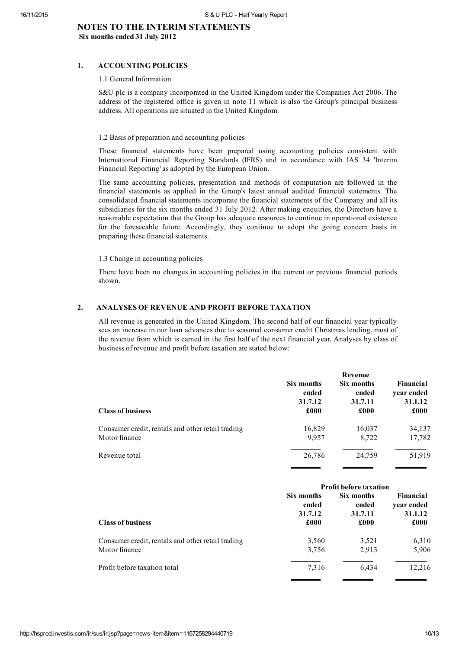# NOTES TO THE INTERIM STATEMENTS Six months ended 31 July 2012

# 1. ACCOUNTING POLICIES

### 1.1 General Information

S&U plc is a company incorporated in the United Kingdom under the Companies Act 2006. The address of the registered office is given in note 11 which is also the Group's principal business address. All operations are situated in the United Kingdom.

### 1.2 Basis of preparation and accounting policies

These financial statements have been prepared using accounting policies consistent with International Financial Reporting Standards (IFRS) and in accordance with IAS 34 'Interim Financial Reporting' as adopted by the European Union.

The same accounting policies, presentation and methods of computation are followed in the financial statements as applied in the Group's latest annual audited financial statements. The consolidated financial statements incorporate the financial statements of the Company and all its subsidiaries for the six months ended 31 July 2012. After making enquiries, the Directors have a reasonable expectation that the Group has adequate resources to continue in operational existence for the foreseeable future. Accordingly, they continue to adopt the going concern basis in preparing these financial statements.

## 1.3 Change in accounting policies

There have been no changes in accounting policies in the current or previous financial periods shown.

# 2. ANALYSES OF REVENUE AND PROFIT BEFORE TAXATION

All revenue is generated in the United Kingdom. The second half of our financial year typically sees an increase in our loan advances due to seasonal consumer credit Christmas lending, most of the revenue from which is earned in the first half of the next financial year. Analyses by class of business of revenue and profit before taxation are stated below:

|                                                   | Revenue    |            |                  |  |  |
|---------------------------------------------------|------------|------------|------------------|--|--|
| <b>Class of business</b>                          | Six months | Six months | <b>Financial</b> |  |  |
|                                                   | ended      | ended      | year ended       |  |  |
|                                                   | 31.7.12    | 31.7.11    | 31.1.12          |  |  |
|                                                   | £000       | £000       | £000             |  |  |
| Consumer credit, rentals and other retail trading | 16,829     | 16,037     | 34,137           |  |  |
| Motor finance                                     | 9,957      | 8,722      | 17,782           |  |  |
| Revenue total                                     | 26,786     | 24,759     | 51,919           |  |  |

|                                                   | <b>Profit before taxation</b> |            |                  |  |
|---------------------------------------------------|-------------------------------|------------|------------------|--|
| <b>Class of business</b>                          | Six months                    | Six months | <b>Financial</b> |  |
|                                                   | ended                         | ended      | year ended       |  |
|                                                   | 31.7.12                       | 31.7.11    | 31.1.12          |  |
|                                                   | £000                          | £000       | £000             |  |
| Consumer credit, rentals and other retail trading | 3,560                         | 3,521      | 6,310            |  |
| Motor finance                                     | 3,756                         | 2.913      | 5,906            |  |
| Profit before taxation total                      | 7.316                         | 6.434      | 12,216           |  |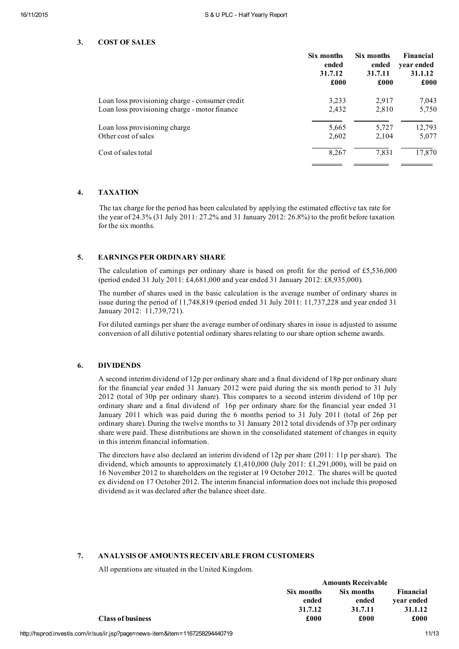## 3. COST OF SALES

|                                                 | Six months | Six months | Financial  |
|-------------------------------------------------|------------|------------|------------|
|                                                 | ended      | ended      | year ended |
|                                                 | 31.7.12    | 31.7.11    | 31.1.12    |
|                                                 | £000       | £000       | £000       |
| Loan loss provisioning charge - consumer credit | 3.233      | 2,917      | 7,043      |
| Loan loss provisioning charge - motor finance   | 2,432      | 2,810      | 5,750      |
| Loan loss provisioning charge                   | 5,665      | 5,727      | 12,793     |
| Other cost of sales                             | 2,602      | 2,104      | 5,077      |
| Cost of sales total                             | 8,267      | 7,831      | 17,870     |

# 4. TAXATION

The tax charge for the period has been calculated by applying the estimated effective tax rate for the year of 24.3% (31 July 2011: 27.2% and 31 January 2012: 26.8%) to the profit before taxation for the six months.

# 5. EARNINGS PER ORDINARY SHARE

The calculation of earnings per ordinary share is based on profit for the period of £5,536,000 (period ended 31 July 2011: £4,681,000 and year ended 31 January 2012: £8,935,000).

The number of shares used in the basic calculation is the average number of ordinary shares in issue during the period of 11,748,819 (period ended 31 July 2011: 11,737,228 and year ended 31 January 2012: 11,739,721).

For diluted earnings per share the average number of ordinary shares in issue is adjusted to assume conversion of all dilutive potential ordinary shares relating to ourshare option scheme awards.

# 6. DIVIDENDS

A second interim dividend of 12p per ordinary share and a final dividend of 18p per ordinary share for the financial year ended 31 January 2012 were paid during the six month period to 31 July 2012 (total of 30p per ordinary share). This compares to a second interim dividend of 10p per ordinary share and a final dividend of 16p per ordinary share for the financial year ended 31 January 2011 which was paid during the 6 months period to 31 July 2011 (total of 26p per ordinary share). During the twelve months to 31 January 2012 total dividends of 37p per ordinary share were paid. These distributions are shown in the consolidated statement of changes in equity in this interim financial information.

The directors have also declared an interim dividend of 12p per share (2011: 11p per share). The dividend, which amounts to approximately £1,410,000 (July 2011: £1,291,000), will be paid on 16 November 2012 to shareholders on the register at 19 October 2012. The shares will be quoted ex dividend on 17 October 2012. The interim financial information does not include this proposed dividend as it was declared after the balance sheet date.

# 7. ANALYSIS OF AMOUNTS RECEIVABLE FROM CUSTOMERS

All operations are situated in the United Kingdom.

|                          |            | <b>Amounts Receivable</b> |            |  |
|--------------------------|------------|---------------------------|------------|--|
|                          | Six months | Six months                | Financial  |  |
|                          | ended      | ended                     | vear ended |  |
|                          | 31.7.12    | 31.7.11                   | 31.1.12    |  |
| <b>Class of business</b> | £000       | £000                      | £000       |  |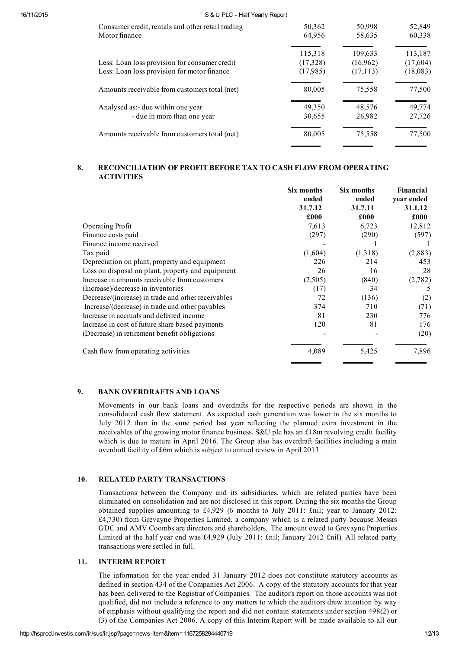| Consumer credit, rentals and other retail trading | 50,362   | 50,998    | 52,849   |
|---------------------------------------------------|----------|-----------|----------|
| Motor finance                                     | 64,956   | 58,635    | 60,338   |
|                                                   | 115,318  | 109,633   | 113,187  |
| Less: Loan loss provision for consumer credit     | (17,328) | (16,962)  | (17,604) |
| Less: Loan loss provision for motor finance       | (17,985) | (17, 113) | (18,083) |
| Amounts receivable from customers total (net)     | 80,005   | 75,558    | 77,500   |
| Analysed as: - due within one year                | 49,350   | 48,576    | 49,774   |
| - due in more than one year                       | 30,655   | 26,982    | 27,726   |
| Amounts receivable from customers total (net)     | 80,005   | 75,558    | 77,500   |
|                                                   |          |           |          |

# 8. RECONCILIATION OF PROFIT BEFORE TAX TO CASH FLOW FROM OPERATING **ACTIVITIES**

|                                                    | Six months<br>ended<br>31.7.12 | Six months<br>ended<br>31.7.11 | Financial<br>year ended<br>31.1.12 |
|----------------------------------------------------|--------------------------------|--------------------------------|------------------------------------|
|                                                    | £000                           | £000                           | £000                               |
| <b>Operating Profit</b>                            | 7,613                          | 6,723                          | 12,812                             |
| Finance costs paid                                 | (297)                          | (290)                          | (597)                              |
| Finance income received                            |                                |                                |                                    |
| Tax paid                                           | (1,604)                        | (1,318)                        | (2,883)                            |
| Depreciation on plant, property and equipment      | 226                            | 214                            | 453                                |
| Loss on disposal on plant, property and equipment  | 26                             | 16                             | 28                                 |
| Increase in amounts receivable from customers      | (2,505)                        | (840)                          | (2,782)                            |
| (Increase)/decrease in inventories                 | (17)                           | 34                             | 5                                  |
| Decrease/(increase) in trade and other receivables | 72                             | (136)                          | (2)                                |
| Increase/(decrease) in trade and other payables    | 374                            | 710                            | (71)                               |
| Increase in accruals and deferred income           | 81                             | 230                            | 776                                |
| Increase in cost of future share based payments    | 120                            | 81                             | 176                                |
| (Decrease) in retirement benefit obligations       |                                |                                | (20)                               |
| Cash flow from operating activities                | 4,089                          | 5,425                          | 7,896                              |

# 9. BANK OVERDRAFTS AND LOANS

Movements in our bank loans and overdrafts for the respective periods are shown in the consolidated cash flow statement. As expected cash generation was lower in the six months to July 2012 than in the same period last year reflecting the planned extra investment in the receivables of the growing motor finance business. S&U plc has an £18m revolving credit facility which is due to mature in April 2016. The Group also has overdraft facilities including a main overdraft facility of £6m which is subject to annual review in April 2013.

# 10. RELATED PARTY TRANSACTIONS

Transactions between the Company and its subsidiaries, which are related parties have been eliminated on consolidation and are not disclosed in this report. During the six months the Group obtained supplies amounting to £4,929 (6 months to July 2011: £nil; year to January 2012: £4,730) from Grevayne Properties Limited, a company which is a related party because Messrs GDC and AMV Coombs are directors and shareholders. The amount owed to Grevayne Properties Limited at the half year end was £4,929 (July 2011: £nil; January 2012 £nil). All related party transactions were settled in full.

# 11. INTERIM REPORT

The information for the year ended 31 January 2012 does not constitute statutory accounts as defined in section 434 of the Companies Act 2006. A copy of the statutory accounts for that year has been delivered to the Registrar of Companies. The auditor's report on those accounts was not qualified, did not include a reference to any matters to which the auditors drew attention by way of emphasis without qualifying the report and did not contain statements under section 498(2) or (3) of the Companies Act 2006. A copy of this Interim Report will be made available to all our